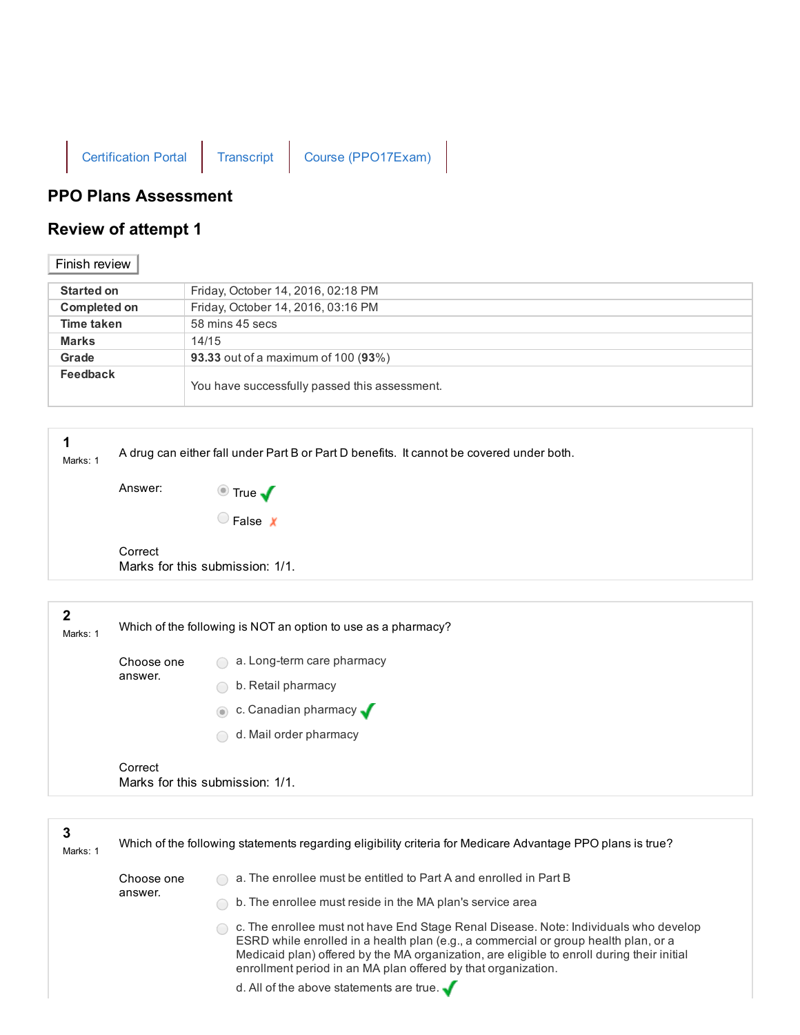

## PPO Plans Assessment

## Review of attempt 1

## Finish review

| <b>Started on</b>   | Friday, October 14, 2016, 02:18 PM            |
|---------------------|-----------------------------------------------|
| <b>Completed on</b> | Friday, October 14, 2016, 03:16 PM            |
| Time taken          | 58 mins 45 secs                               |
| <b>Marks</b>        | 14/15                                         |
| Grade               | <b>93.33</b> out of a maximum of 100 (93%)    |
| Feedback            | You have successfully passed this assessment. |

| Marks: 1      |            | A drug can either fall under Part B or Part D benefits. It cannot be covered under both. |
|---------------|------------|------------------------------------------------------------------------------------------|
|               | Answer:    |                                                                                          |
|               |            | ■ True ✔                                                                                 |
|               | Correct    | Marks for this submission: 1/1.                                                          |
|               |            |                                                                                          |
| 2<br>Marks: 1 |            | Which of the following is NOT an option to use as a pharmacy?                            |
|               | Choose one | a. Long-term care pharmacy                                                               |
|               | answer.    | b. Retail pharmacy                                                                       |
|               |            | $\bullet$ c. Canadian pharmacy $\bullet$                                                 |

d. Mail order pharmacy

Correct Marks for this submission: 1/1.

| 3<br>Marks: 1 | Which of the following statements regarding eligibility criteria for Medicare Advantage PPO plans is true? |                                                                                                                                                                                                                                                                                                                                            |
|---------------|------------------------------------------------------------------------------------------------------------|--------------------------------------------------------------------------------------------------------------------------------------------------------------------------------------------------------------------------------------------------------------------------------------------------------------------------------------------|
| answer.       | Choose one                                                                                                 | a. The enrollee must be entitled to Part A and enrolled in Part B                                                                                                                                                                                                                                                                          |
|               |                                                                                                            | b. The enrollee must reside in the MA plan's service area                                                                                                                                                                                                                                                                                  |
|               |                                                                                                            | c. The enrollee must not have End Stage Renal Disease. Note: Individuals who develop<br>ESRD while enrolled in a health plan (e.g., a commercial or group health plan, or a<br>Medicaid plan) offered by the MA organization, are eligible to enroll during their initial<br>enrollment period in an MA plan offered by that organization. |
|               |                                                                                                            | d. All of the above statements are true. $\sqrt{ }$                                                                                                                                                                                                                                                                                        |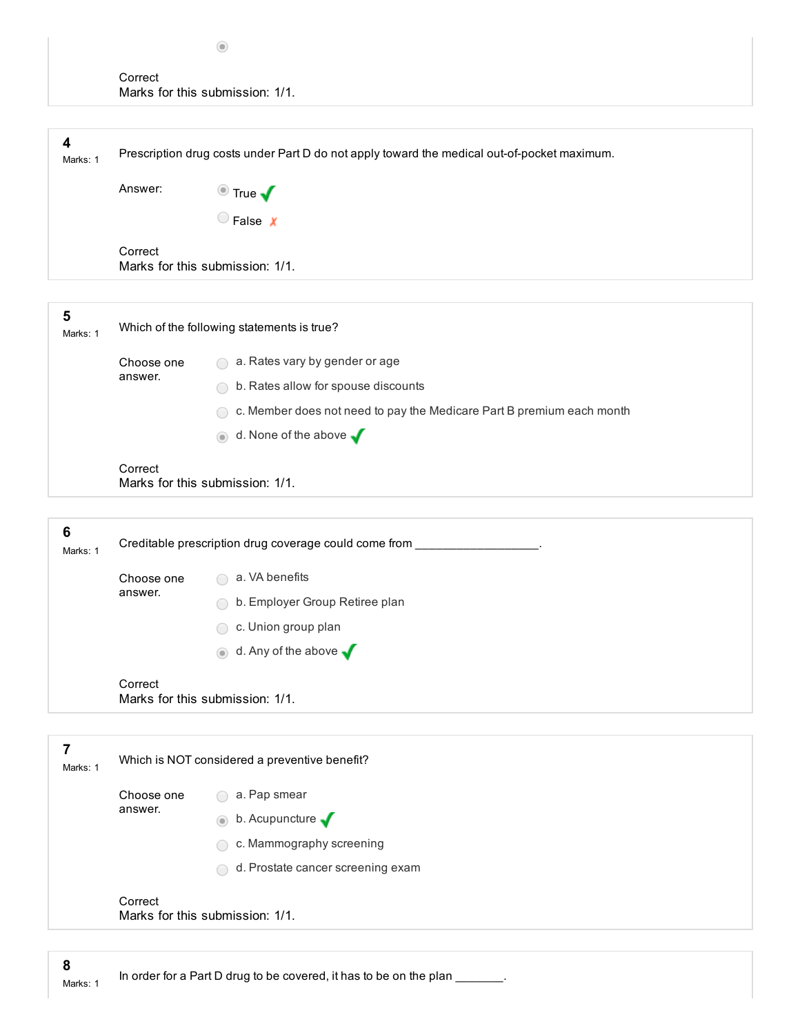| Correct                         |  |
|---------------------------------|--|
| Marks for this submission: 1/1. |  |

| 4<br>Marks: 1               |                       | Prescription drug costs under Part D do not apply toward the medical out-of-pocket maximum. |
|-----------------------------|-----------------------|---------------------------------------------------------------------------------------------|
|                             | Answer:               | $\bullet$ True $\blacklozenge$                                                              |
|                             |                       | $\bigcirc$ False $\chi$                                                                     |
|                             | Correct               | Marks for this submission: 1/1.                                                             |
|                             |                       |                                                                                             |
| 5<br>Marks: 1               |                       | Which of the following statements is true?                                                  |
|                             | Choose one            | a. Rates vary by gender or age                                                              |
|                             | answer.               | b. Rates allow for spouse discounts                                                         |
|                             |                       | c. Member does not need to pay the Medicare Part B premium each month                       |
|                             |                       | d. None of the above $\sqrt$                                                                |
|                             | Correct               | Marks for this submission: 1/1.                                                             |
|                             |                       |                                                                                             |
| $6\phantom{1}6$<br>Marks: 1 |                       | Creditable prescription drug coverage could come from                                       |
|                             | Choose one<br>answer. | a. VA benefits                                                                              |

b. Employer Group Retiree plan

c. Union group plan

 $\bullet$  d. Any of the above  $\blacklozenge$ 

Correct Marks for this submission: 1/1.

| Marks: 1 |            | Which is NOT considered a preventive benefit?                 |
|----------|------------|---------------------------------------------------------------|
|          | Choose one | a. Pap smear<br>$\left( \begin{array}{c} \end{array} \right)$ |
|          | answer.    | b. Acupuncture $\sqrt$<br>$\odot$                             |
|          |            | c. Mammography screening<br>$\overline{\phantom{a}}$          |
|          |            | d. Prostate cancer screening exam<br>$\overline{\phantom{0}}$ |
|          | Correct    | Marks for this submission: 1/1.                               |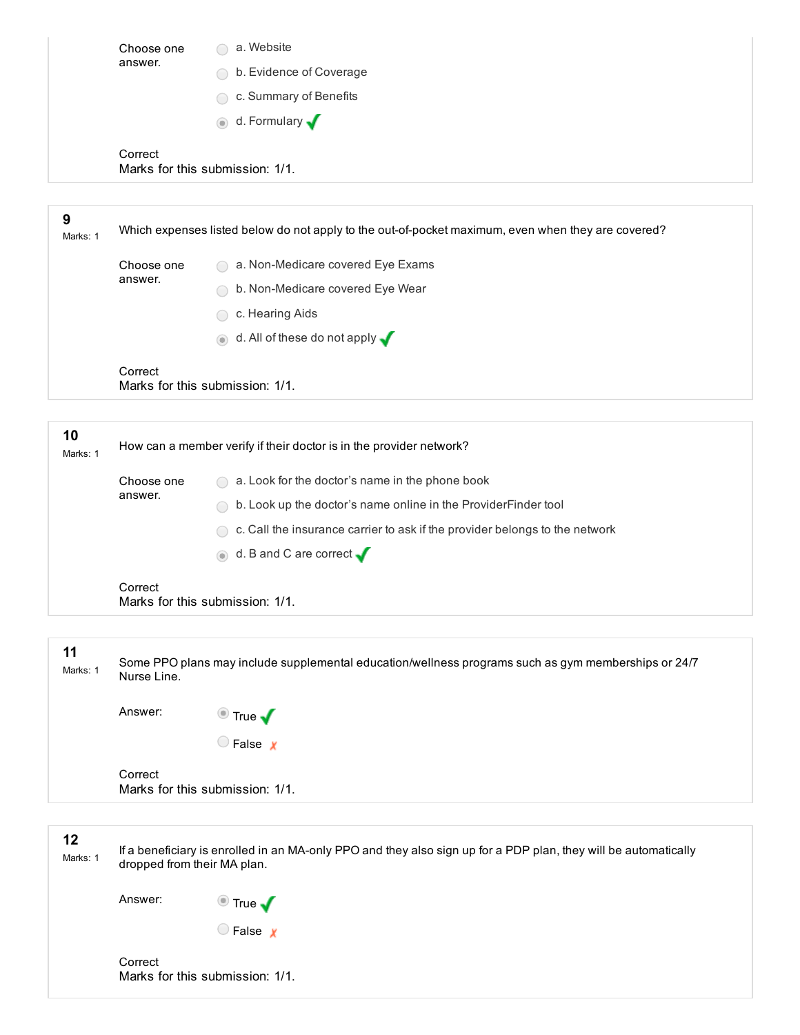| Choose one | a. Website                      |
|------------|---------------------------------|
| answer.    | b. Evidence of Coverage         |
|            | c. Summary of Benefits<br>(     |
|            | o d. Formulary                  |
| Correct    | Marks for this submission: 1/1. |

| 9<br>Marks: 1  |                       | Which expenses listed below do not apply to the out-of-pocket maximum, even when they are covered? |
|----------------|-----------------------|----------------------------------------------------------------------------------------------------|
|                | Choose one<br>answer. | a. Non-Medicare covered Eye Exams                                                                  |
|                |                       | b. Non-Medicare covered Eye Wear                                                                   |
|                |                       | c. Hearing Aids                                                                                    |
|                |                       | d. All of these do not apply $\sqrt{}$<br>$\odot$                                                  |
|                | Correct               | Marks for this submission: 1/1.                                                                    |
|                |                       |                                                                                                    |
| 10<br>Marks: 1 |                       | How can a member verify if their doctor is in the provider network?                                |
|                | Choose one<br>answer. | a. Look for the doctor's name in the phone book                                                    |
|                |                       | b. Look up the doctor's name online in the ProviderFinder tool                                     |
|                |                       | c. Call the insurance carrier to ask if the provider belongs to the network                        |
|                |                       | d. B and C are correct $\sqrt{ }$<br>$\circledcirc$                                                |
|                | Correct               | Marks for this submission: 1/1.                                                                    |

| 11<br>Marks: 1 | Nurse Line. | Some PPO plans may include supplemental education/wellness programs such as gym memberships or 24/7 |
|----------------|-------------|-----------------------------------------------------------------------------------------------------|
|                | Answer:     | $\bullet$ True $\blacktriangledown$                                                                 |
|                |             | $\bigcirc$ False $\bigcirc$                                                                         |
|                | Correct     | Marks for this submission: 1/1.                                                                     |
|                |             |                                                                                                     |

12

Marks: 1 If a beneficiary is enrolled in an MA-only PPO and they also sign up for a PDP plan, they will be automatically dropped from their MA plan.

Answer: True

C False x

Correct Marks for this submission: 1/1.